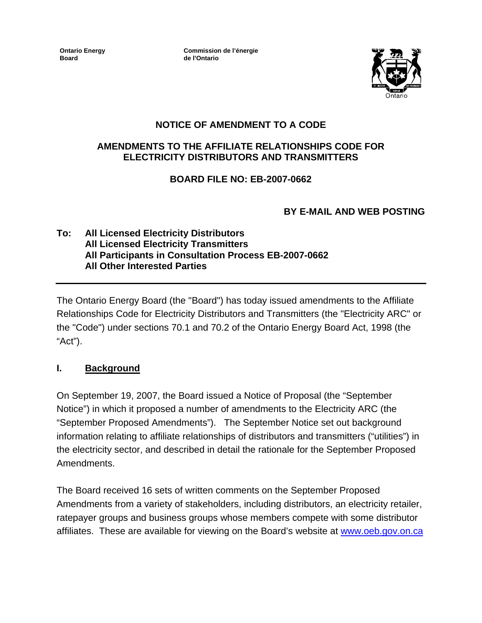**Ontario Energy Board**

**Commission de l'énergie de l'Ontario**



# **NOTICE OF AMENDMENT TO A CODE**

#### **AMENDMENTS TO THE AFFILIATE RELATIONSHIPS CODE FOR ELECTRICITY DISTRIBUTORS AND TRANSMITTERS**

### **BOARD FILE NO: EB-2007-0662**

# **BY E-MAIL AND WEB POSTING**

#### **To: All Licensed Electricity Distributors All Licensed Electricity Transmitters All Participants in Consultation Process EB-2007-0662 All Other Interested Parties**

The Ontario Energy Board (the "Board") has today issued amendments to the Affiliate Relationships Code for Electricity Distributors and Transmitters (the "Electricity ARC" or the "Code") under sections 70.1 and 70.2 of the Ontario Energy Board Act, 1998 (the "Act").

### **I. Background**

On September 19, 2007, the Board issued a Notice of Proposal (the "September Notice") in which it proposed a number of amendments to the Electricity ARC (the "September Proposed Amendments"). The September Notice set out background information relating to affiliate relationships of distributors and transmitters ("utilities") in the electricity sector, and described in detail the rationale for the September Proposed Amendments.

The Board received 16 sets of written comments on the September Proposed Amendments from a variety of stakeholders, including distributors, an electricity retailer, ratepayer groups and business groups whose members compete with some distributor affiliates. These are available for viewing on the Board's website at [www.oeb.gov.on.ca](http://www.oeb.gov.on.ca/)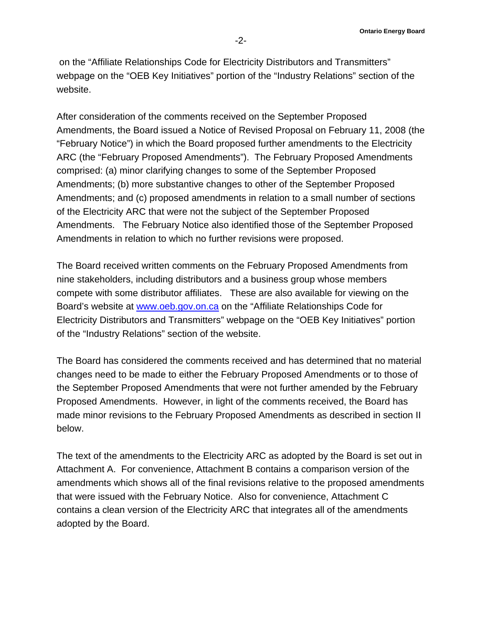on the "Affiliate Relationships Code for Electricity Distributors and Transmitters" webpage on the "OEB Key Initiatives" portion of the "Industry Relations" section of the website.

After consideration of the comments received on the September Proposed Amendments, the Board issued a Notice of Revised Proposal on February 11, 2008 (the "February Notice") in which the Board proposed further amendments to the Electricity ARC (the "February Proposed Amendments"). The February Proposed Amendments comprised: (a) minor clarifying changes to some of the September Proposed Amendments; (b) more substantive changes to other of the September Proposed Amendments; and (c) proposed amendments in relation to a small number of sections of the Electricity ARC that were not the subject of the September Proposed Amendments. The February Notice also identified those of the September Proposed Amendments in relation to which no further revisions were proposed.

The Board received written comments on the February Proposed Amendments from nine stakeholders, including distributors and a business group whose members compete with some distributor affiliates. These are also available for viewing on the Board's website at [www.oeb.gov.on.ca](http://www.oeb.gov.on.ca/) on the "Affiliate Relationships Code for Electricity Distributors and Transmitters" webpage on the "OEB Key Initiatives" portion of the "Industry Relations" section of the website.

The Board has considered the comments received and has determined that no material changes need to be made to either the February Proposed Amendments or to those of the September Proposed Amendments that were not further amended by the February Proposed Amendments. However, in light of the comments received, the Board has made minor revisions to the February Proposed Amendments as described in section II below.

The text of the amendments to the Electricity ARC as adopted by the Board is set out in Attachment A. For convenience, Attachment B contains a comparison version of the amendments which shows all of the final revisions relative to the proposed amendments that were issued with the February Notice. Also for convenience, Attachment C contains a clean version of the Electricity ARC that integrates all of the amendments adopted by the Board.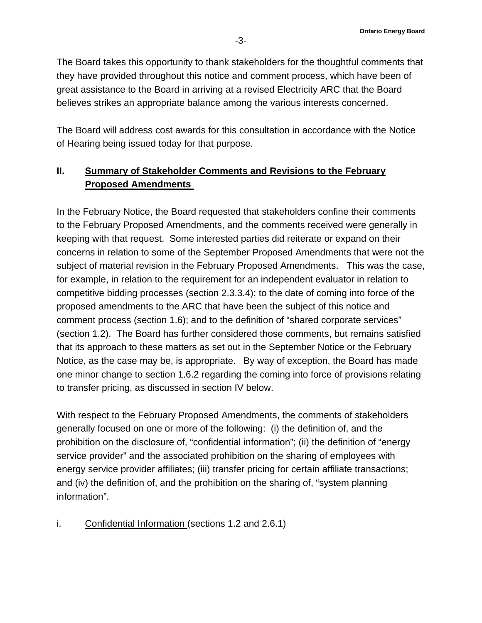The Board takes this opportunity to thank stakeholders for the thoughtful comments that they have provided throughout this notice and comment process, which have been of great assistance to the Board in arriving at a revised Electricity ARC that the Board believes strikes an appropriate balance among the various interests concerned.

The Board will address cost awards for this consultation in accordance with the Notice of Hearing being issued today for that purpose.

# **II. Summary of Stakeholder Comments and Revisions to the February Proposed Amendments**

In the February Notice, the Board requested that stakeholders confine their comments to the February Proposed Amendments, and the comments received were generally in keeping with that request. Some interested parties did reiterate or expand on their concerns in relation to some of the September Proposed Amendments that were not the subject of material revision in the February Proposed Amendments. This was the case, for example, in relation to the requirement for an independent evaluator in relation to competitive bidding processes (section 2.3.3.4); to the date of coming into force of the proposed amendments to the ARC that have been the subject of this notice and comment process (section 1.6); and to the definition of "shared corporate services" (section 1.2). The Board has further considered those comments, but remains satisfied that its approach to these matters as set out in the September Notice or the February Notice, as the case may be, is appropriate. By way of exception, the Board has made one minor change to section 1.6.2 regarding the coming into force of provisions relating to transfer pricing, as discussed in section IV below.

With respect to the February Proposed Amendments, the comments of stakeholders generally focused on one or more of the following: (i) the definition of, and the prohibition on the disclosure of, "confidential information"; (ii) the definition of "energy service provider" and the associated prohibition on the sharing of employees with energy service provider affiliates; (iii) transfer pricing for certain affiliate transactions; and (iv) the definition of, and the prohibition on the sharing of, "system planning information".

i. Confidential Information (sections 1.2 and 2.6.1)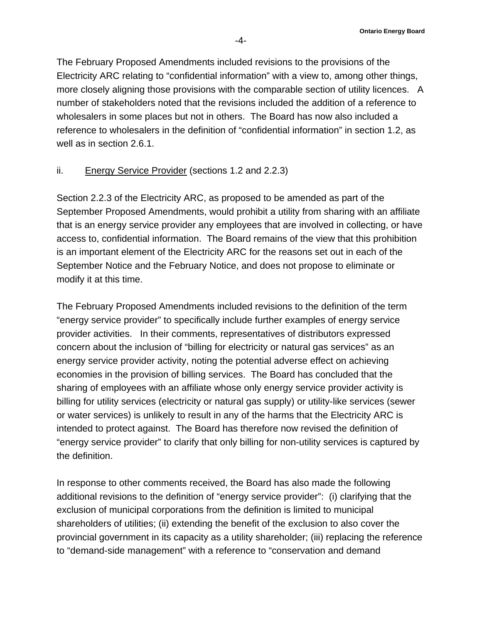The February Proposed Amendments included revisions to the provisions of the Electricity ARC relating to "confidential information" with a view to, among other things, more closely aligning those provisions with the comparable section of utility licences. A number of stakeholders noted that the revisions included the addition of a reference to wholesalers in some places but not in others. The Board has now also included a reference to wholesalers in the definition of "confidential information" in section 1.2, as well as in section 2.6.1.

#### ii. Energy Service Provider (sections 1.2 and 2.2.3)

Section 2.2.3 of the Electricity ARC, as proposed to be amended as part of the September Proposed Amendments, would prohibit a utility from sharing with an affiliate that is an energy service provider any employees that are involved in collecting, or have access to, confidential information. The Board remains of the view that this prohibition is an important element of the Electricity ARC for the reasons set out in each of the September Notice and the February Notice, and does not propose to eliminate or modify it at this time.

The February Proposed Amendments included revisions to the definition of the term "energy service provider" to specifically include further examples of energy service provider activities. In their comments, representatives of distributors expressed concern about the inclusion of "billing for electricity or natural gas services" as an energy service provider activity, noting the potential adverse effect on achieving economies in the provision of billing services. The Board has concluded that the sharing of employees with an affiliate whose only energy service provider activity is billing for utility services (electricity or natural gas supply) or utility-like services (sewer or water services) is unlikely to result in any of the harms that the Electricity ARC is intended to protect against. The Board has therefore now revised the definition of "energy service provider" to clarify that only billing for non-utility services is captured by the definition.

In response to other comments received, the Board has also made the following additional revisions to the definition of "energy service provider": (i) clarifying that the exclusion of municipal corporations from the definition is limited to municipal shareholders of utilities; (ii) extending the benefit of the exclusion to also cover the provincial government in its capacity as a utility shareholder; (iii) replacing the reference to "demand-side management" with a reference to "conservation and demand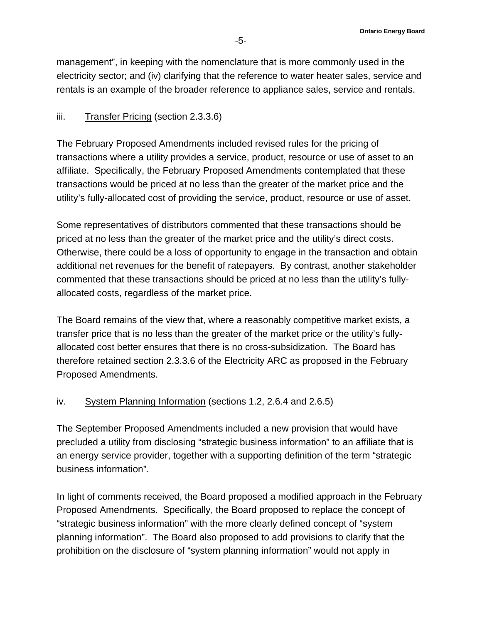management", in keeping with the nomenclature that is more commonly used in the electricity sector; and (iv) clarifying that the reference to water heater sales, service and rentals is an example of the broader reference to appliance sales, service and rentals.

### iii. Transfer Pricing (section 2.3.3.6)

The February Proposed Amendments included revised rules for the pricing of transactions where a utility provides a service, product, resource or use of asset to an affiliate. Specifically, the February Proposed Amendments contemplated that these transactions would be priced at no less than the greater of the market price and the utility's fully-allocated cost of providing the service, product, resource or use of asset.

Some representatives of distributors commented that these transactions should be priced at no less than the greater of the market price and the utility's direct costs. Otherwise, there could be a loss of opportunity to engage in the transaction and obtain additional net revenues for the benefit of ratepayers. By contrast, another stakeholder commented that these transactions should be priced at no less than the utility's fullyallocated costs, regardless of the market price.

The Board remains of the view that, where a reasonably competitive market exists, a transfer price that is no less than the greater of the market price or the utility's fullyallocated cost better ensures that there is no cross-subsidization. The Board has therefore retained section 2.3.3.6 of the Electricity ARC as proposed in the February Proposed Amendments.

#### iv. System Planning Information (sections 1.2, 2.6.4 and 2.6.5)

The September Proposed Amendments included a new provision that would have precluded a utility from disclosing "strategic business information" to an affiliate that is an energy service provider, together with a supporting definition of the term "strategic business information".

In light of comments received, the Board proposed a modified approach in the February Proposed Amendments. Specifically, the Board proposed to replace the concept of "strategic business information" with the more clearly defined concept of "system planning information". The Board also proposed to add provisions to clarify that the prohibition on the disclosure of "system planning information" would not apply in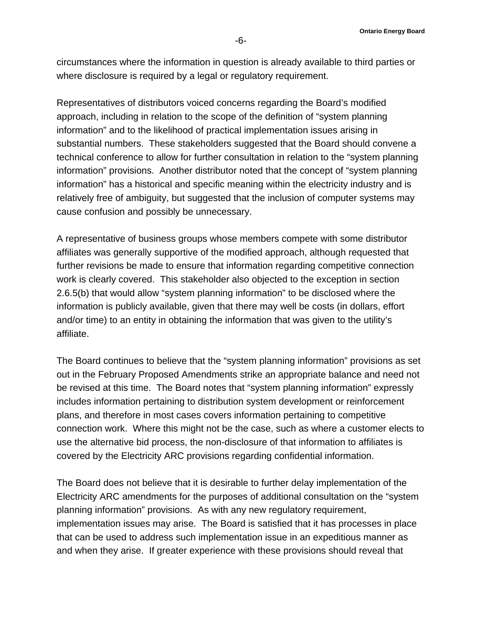circumstances where the information in question is already available to third parties or where disclosure is required by a legal or regulatory requirement.

Representatives of distributors voiced concerns regarding the Board's modified approach, including in relation to the scope of the definition of "system planning information" and to the likelihood of practical implementation issues arising in substantial numbers. These stakeholders suggested that the Board should convene a technical conference to allow for further consultation in relation to the "system planning information" provisions. Another distributor noted that the concept of "system planning information" has a historical and specific meaning within the electricity industry and is relatively free of ambiguity, but suggested that the inclusion of computer systems may cause confusion and possibly be unnecessary.

A representative of business groups whose members compete with some distributor affiliates was generally supportive of the modified approach, although requested that further revisions be made to ensure that information regarding competitive connection work is clearly covered. This stakeholder also objected to the exception in section 2.6.5(b) that would allow "system planning information" to be disclosed where the information is publicly available, given that there may well be costs (in dollars, effort and/or time) to an entity in obtaining the information that was given to the utility's affiliate.

The Board continues to believe that the "system planning information" provisions as set out in the February Proposed Amendments strike an appropriate balance and need not be revised at this time. The Board notes that "system planning information" expressly includes information pertaining to distribution system development or reinforcement plans, and therefore in most cases covers information pertaining to competitive connection work. Where this might not be the case, such as where a customer elects to use the alternative bid process, the non-disclosure of that information to affiliates is covered by the Electricity ARC provisions regarding confidential information.

The Board does not believe that it is desirable to further delay implementation of the Electricity ARC amendments for the purposes of additional consultation on the "system planning information" provisions. As with any new regulatory requirement, implementation issues may arise. The Board is satisfied that it has processes in place that can be used to address such implementation issue in an expeditious manner as and when they arise. If greater experience with these provisions should reveal that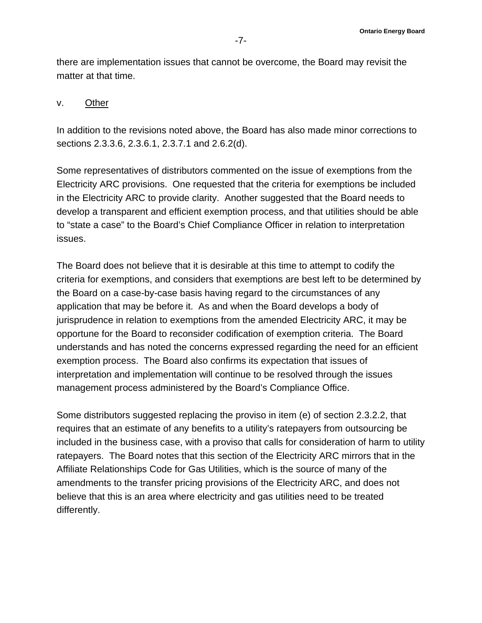there are implementation issues that cannot be overcome, the Board may revisit the matter at that time.

#### v. Other

In addition to the revisions noted above, the Board has also made minor corrections to sections 2.3.3.6, 2.3.6.1, 2.3.7.1 and 2.6.2(d).

Some representatives of distributors commented on the issue of exemptions from the Electricity ARC provisions. One requested that the criteria for exemptions be included in the Electricity ARC to provide clarity. Another suggested that the Board needs to develop a transparent and efficient exemption process, and that utilities should be able to "state a case" to the Board's Chief Compliance Officer in relation to interpretation issues.

The Board does not believe that it is desirable at this time to attempt to codify the criteria for exemptions, and considers that exemptions are best left to be determined by the Board on a case-by-case basis having regard to the circumstances of any application that may be before it. As and when the Board develops a body of jurisprudence in relation to exemptions from the amended Electricity ARC, it may be opportune for the Board to reconsider codification of exemption criteria. The Board understands and has noted the concerns expressed regarding the need for an efficient exemption process. The Board also confirms its expectation that issues of interpretation and implementation will continue to be resolved through the issues management process administered by the Board's Compliance Office.

Some distributors suggested replacing the proviso in item (e) of section 2.3.2.2, that requires that an estimate of any benefits to a utility's ratepayers from outsourcing be included in the business case, with a proviso that calls for consideration of harm to utility ratepayers. The Board notes that this section of the Electricity ARC mirrors that in the Affiliate Relationships Code for Gas Utilities, which is the source of many of the amendments to the transfer pricing provisions of the Electricity ARC, and does not believe that this is an area where electricity and gas utilities need to be treated differently.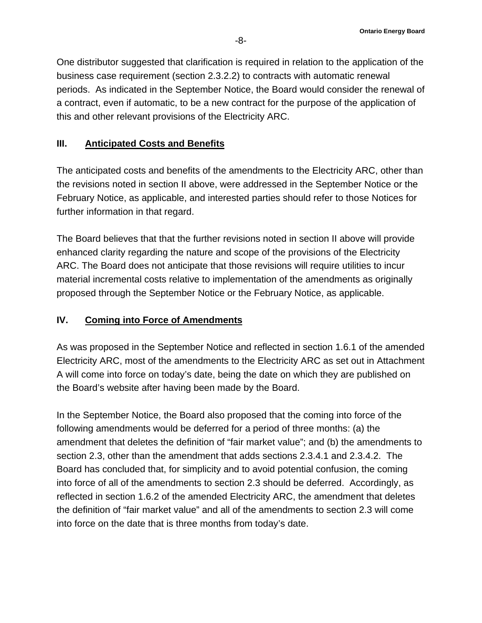One distributor suggested that clarification is required in relation to the application of the business case requirement (section 2.3.2.2) to contracts with automatic renewal periods. As indicated in the September Notice, the Board would consider the renewal of a contract, even if automatic, to be a new contract for the purpose of the application of this and other relevant provisions of the Electricity ARC.

### **III. Anticipated Costs and Benefits**

The anticipated costs and benefits of the amendments to the Electricity ARC, other than the revisions noted in section II above, were addressed in the September Notice or the February Notice, as applicable, and interested parties should refer to those Notices for further information in that regard.

The Board believes that that the further revisions noted in section II above will provide enhanced clarity regarding the nature and scope of the provisions of the Electricity ARC. The Board does not anticipate that those revisions will require utilities to incur material incremental costs relative to implementation of the amendments as originally proposed through the September Notice or the February Notice, as applicable.

# **IV. Coming into Force of Amendments**

As was proposed in the September Notice and reflected in section 1.6.1 of the amended Electricity ARC, most of the amendments to the Electricity ARC as set out in Attachment A will come into force on today's date, being the date on which they are published on the Board's website after having been made by the Board.

In the September Notice, the Board also proposed that the coming into force of the following amendments would be deferred for a period of three months: (a) the amendment that deletes the definition of "fair market value"; and (b) the amendments to section 2.3, other than the amendment that adds sections 2.3.4.1 and 2.3.4.2. The Board has concluded that, for simplicity and to avoid potential confusion, the coming into force of all of the amendments to section 2.3 should be deferred. Accordingly, as reflected in section 1.6.2 of the amended Electricity ARC, the amendment that deletes the definition of "fair market value" and all of the amendments to section 2.3 will come into force on the date that is three months from today's date.